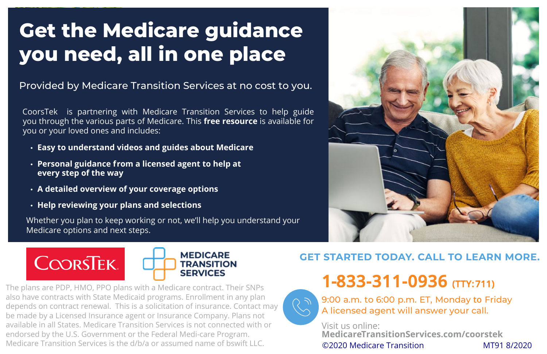## **Get the Medicare guidance you need, all in one place**

Provided by Medicare Transition Services at no cost to you.

CoorsTek is partnering with Medicare Transition Services to help guide you through the various parts of Medicare. This **free resource** is available for you or your loved ones and includes:

- **• Easy to understand videos and guides about Medicare**
- **• Personal guidance from a licensed agent to help at every step of the way**
- **• A detailed overview of your coverage options**
- **• Help reviewing your plans and selections**

Whether you plan to keep working or not, we'll help you understand your Medicare options and next steps.



The plans are PDP, HMO, PPO plans with a Medicare contract. Their SNPs also have contracts with State Medicaid programs. Enrollment in any plan depends on contract renewal. This is a solicitation of insurance. Contact may be made by a Licensed Insurance agent or Insurance Company. Plans not available in all States. Medicare Transition Services is not connected with or endorsed by the U.S. Government or the Federal Medi-care Program. Medicare Transition Services is the d/b/a or assumed name of bswift LLC.



## **GET STARTED TODAY. CALL TO LEARN MORE.**

**1-833-311-0936 (TTY: 711)**



9:00 a.m. to 6:00 p.m. ET, Monday **to** Friday A licensed agent will answer your call.

Visit us online: **MedicareTransitionServices.com/coorstek** ©2020 Medicare Transition MT91 8/2020